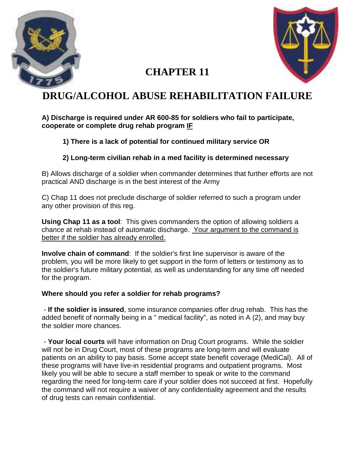



# **CHAPTER 11**

# **DRUG/ALCOHOL ABUSE REHABILITATION FAILURE**

#### **A) Discharge is required under AR 600-85 for soldiers who fail to participate, cooperate or complete drug rehab program IF**

### **1) There is a lack of potential for continued military service OR**

### **2) Long-term civilian rehab in a med facility is determined necessary**

B) Allows discharge of a soldier when commander determines that further efforts are not practical AND discharge is in the best interest of the Army

C) Chap 11 does not preclude discharge of soldier referred to such a program under any other provision of this reg.

**Using Chap 11 as a tool**: This gives commanders the option of allowing soldiers a chance at rehab instead of automatic discharge. Your argument to the command is better if the soldier has already enrolled.

**Involve chain of command**: If the soldier's first line supervisor is aware of the problem, you will be more likely to get support in the form of letters or testimony as to the soldier's future military potential, as well as understanding for any time off needed for the program.

#### **Where should you refer a soldier for rehab programs?**

- **If the soldier is insured**, some insurance companies offer drug rehab. This has the added benefit of normally being in a " medical facility", as noted in A (2), and may buy the soldier more chances.

- **Your local courts** will have information on Drug Court programs. While the soldier will not be in Drug Court, most of these programs are long-term and will evaluate patients on an ability to pay basis. Some accept state benefit coverage (MediCal). All of these programs will have live-in residential programs and outpatient programs. Most likely you will be able to secure a staff member to speak or write to the command regarding the need for long-term care if your soldier does not succeed at first. Hopefully the command will not require a waiver of any confidentiality agreement and the results of drug tests can remain confidential.